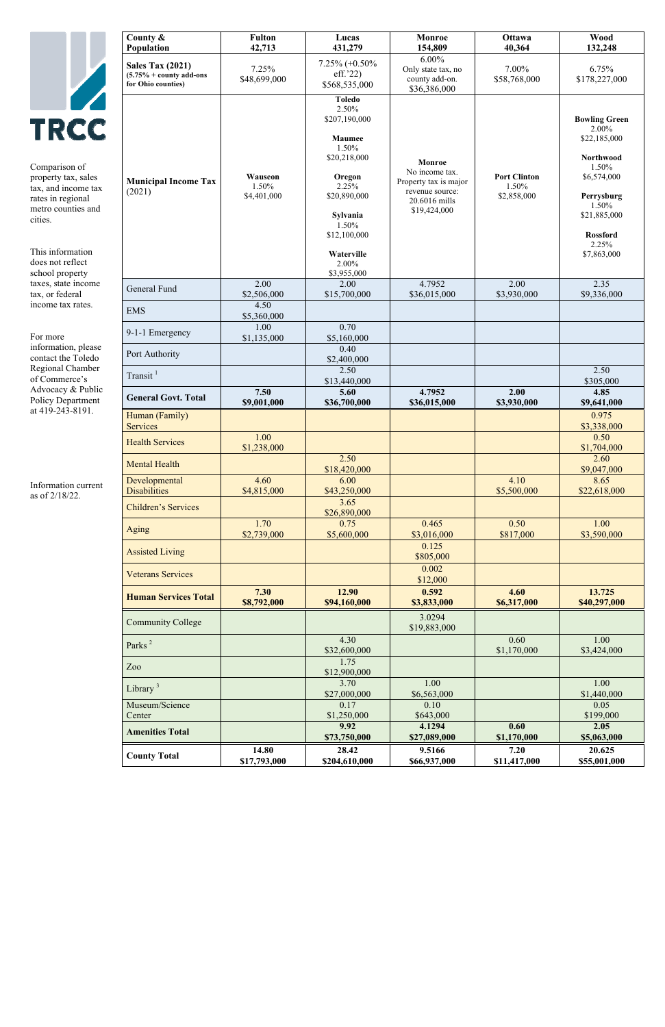|                                                                                                                                  | County $\&$<br>Population                                                           | <b>Fulton</b><br>42,713         | Lucas<br>431,279                                                                                                                          | Monroe<br>154,809                                                                                     | <b>Ottawa</b><br>40,364                     | <b>Wood</b><br>132,248                                                                                                                       |
|----------------------------------------------------------------------------------------------------------------------------------|-------------------------------------------------------------------------------------|---------------------------------|-------------------------------------------------------------------------------------------------------------------------------------------|-------------------------------------------------------------------------------------------------------|---------------------------------------------|----------------------------------------------------------------------------------------------------------------------------------------------|
|                                                                                                                                  | <b>Sales Tax (2021)</b><br>$(5.75\% + \text{counts add-ons})$<br>for Ohio counties) | 7.25%<br>\$48,699,000           | $7.25\% (+0.50\%$<br>eff.'22)<br>\$568,535,000                                                                                            | $6.00\%$<br>Only state tax, no<br>county add-on.<br>\$36,386,000                                      | 7.00%<br>\$58,768,000                       | 6.75%<br>\$178,227,000                                                                                                                       |
| <b>TRCC</b><br>Comparison of<br>property tax, sales<br>tax, and income tax<br>rates in regional<br>metro counties and<br>cities. | <b>Municipal Income Tax</b><br>(2021)                                               | Wauseon<br>1.50%<br>\$4,401,000 | <b>Toledo</b><br>2.50%<br>\$207,190,000<br><b>Maumee</b><br>1.50%<br>\$20,218,000<br>Oregon<br>2.25%<br>\$20,890,000<br>Sylvania<br>1.50% | Monroe<br>No income tax.<br>Property tax is major<br>revenue source:<br>20.6016 mills<br>\$19,424,000 | <b>Port Clinton</b><br>1.50%<br>\$2,858,000 | <b>Bowling Green</b><br>2.00%<br>\$22,185,000<br>Northwood<br>1.50%<br>\$6,574,000<br>Perrysburg<br>1.50%<br>\$21,885,000<br><b>Rossford</b> |
| This information<br>does not reflect<br>school property                                                                          |                                                                                     |                                 | \$12,100,000<br>Waterville<br>2.00%<br>\$3,955,000                                                                                        |                                                                                                       |                                             | 2.25%<br>\$7,863,000                                                                                                                         |
| taxes, state income<br>tax, or federal                                                                                           | General Fund                                                                        | 2.00<br>\$2,506,000             | 2.00<br>\$15,700,000                                                                                                                      | 4.7952<br>\$36,015,000                                                                                | 2.00<br>\$3,930,000                         | 2.35<br>\$9,336,000                                                                                                                          |
| income tax rates.                                                                                                                | <b>EMS</b>                                                                          | 4.50<br>\$5,360,000             |                                                                                                                                           |                                                                                                       |                                             |                                                                                                                                              |
| For more                                                                                                                         | 9-1-1 Emergency                                                                     | 1.00<br>\$1,135,000             | 0.70<br>\$5,160,000                                                                                                                       |                                                                                                       |                                             |                                                                                                                                              |
| information, please<br>contact the Toledo                                                                                        | Port Authority                                                                      |                                 | 0.40<br>\$2,400,000                                                                                                                       |                                                                                                       |                                             |                                                                                                                                              |
| Regional Chamber<br>of Commerce's                                                                                                | Transit $1$                                                                         |                                 | 2.50<br>\$13,440,000                                                                                                                      |                                                                                                       |                                             | 2.50<br>\$305,000                                                                                                                            |
| Advocacy & Public<br><b>Policy Department</b>                                                                                    | <b>General Govt. Total</b>                                                          | 7.50<br>\$9,001,000             | 5.60<br>\$36,700,000                                                                                                                      | 4.7952<br>\$36,015,000                                                                                | 2.00<br>\$3,930,000                         | 4.85<br>\$9,641,000                                                                                                                          |
| at 419-243-8191.                                                                                                                 | Human (Family)<br><b>Services</b>                                                   |                                 |                                                                                                                                           |                                                                                                       |                                             | 0.975<br>\$3,338,000                                                                                                                         |
|                                                                                                                                  | <b>Health Services</b>                                                              | 1.00<br>\$1,238,000             |                                                                                                                                           |                                                                                                       |                                             | 0.50<br>\$1,704,000                                                                                                                          |
|                                                                                                                                  | <b>Mental Health</b>                                                                |                                 | 2.50<br>\$18,420,000                                                                                                                      |                                                                                                       |                                             | 2.60<br>\$9,047,000                                                                                                                          |
| Information current<br>as of 2/18/22.                                                                                            | Developmental<br><b>Disabilities</b>                                                | 4.60<br>\$4,815,000             | 6.00<br>\$43,250,000                                                                                                                      |                                                                                                       | 4.10<br>\$5,500,000                         | 8.65<br>\$22,618,000                                                                                                                         |
|                                                                                                                                  | <b>Children's Services</b>                                                          |                                 | 3.65<br>\$26,890,000                                                                                                                      |                                                                                                       |                                             |                                                                                                                                              |
|                                                                                                                                  | <b>Aging</b><br><b>Assisted Living</b>                                              | 1.70<br>\$2,739,000             | 0.75<br>\$5,600,000                                                                                                                       | 0.465<br>\$3,016,000<br>0.125                                                                         | 0.50<br>\$817,000                           | 1.00<br>\$3,590,000                                                                                                                          |
|                                                                                                                                  | <b>Veterans Services</b>                                                            |                                 |                                                                                                                                           | \$805,000<br>0.002                                                                                    |                                             |                                                                                                                                              |
|                                                                                                                                  | <b>Human Services Total</b>                                                         | 7.30<br>\$8,792,000             | 12.90<br>\$94,160,000                                                                                                                     | \$12,000<br>0.592<br>\$3,833,000                                                                      | 4.60<br>\$6,317,000                         | 13.725<br>\$40,297,000                                                                                                                       |
|                                                                                                                                  | <b>Community College</b>                                                            |                                 |                                                                                                                                           | 3.0294<br>\$19,883,000                                                                                |                                             |                                                                                                                                              |
|                                                                                                                                  | Parks <sup>2</sup>                                                                  |                                 | 4.30<br>\$32,600,000                                                                                                                      |                                                                                                       | 0.60<br>\$1,170,000                         | 1.00<br>\$3,424,000                                                                                                                          |
|                                                                                                                                  | Zoo                                                                                 |                                 | 1.75<br>\$12,900,000                                                                                                                      |                                                                                                       |                                             |                                                                                                                                              |
|                                                                                                                                  | Library $3$                                                                         |                                 | 3.70<br>\$27,000,000                                                                                                                      | 1.00<br>\$6,563,000                                                                                   |                                             | 1.00<br>\$1,440,000                                                                                                                          |
|                                                                                                                                  | Museum/Science<br>Center                                                            |                                 | 0.17<br>\$1,250,000                                                                                                                       | 0.10<br>\$643,000                                                                                     |                                             | 0.05<br>\$199,000                                                                                                                            |
|                                                                                                                                  | <b>Amenities Total</b>                                                              |                                 | 9.92<br>\$73,750,000                                                                                                                      | 4.1294<br>\$27,089,000                                                                                | 0.60<br>\$1,170,000                         | 2.05<br>\$5,063,000                                                                                                                          |
|                                                                                                                                  | <b>County Total</b>                                                                 | 14.80<br>\$17,793,000           | 28.42<br>\$204,610,000                                                                                                                    | 9.5166<br>\$66,937,000                                                                                | 7.20<br>\$11,417,000                        | 20.625<br>\$55,001,000                                                                                                                       |